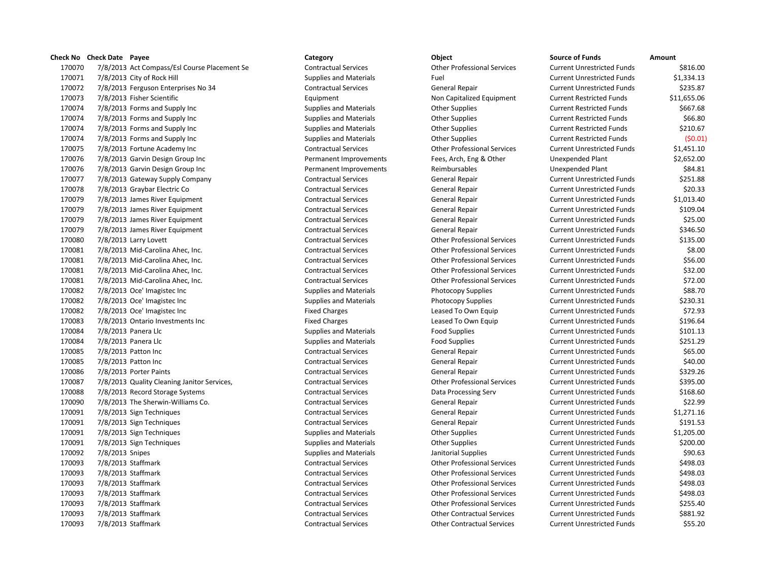7/8/2013 Act Compass/Esl Course Placement Se Contractual Services Other Professional Services Current Unrestricted Funds \$816.00 7/8/2013 City of Rock Hill Supplies and Materials Fuel Current Unrestricted Funds \$1,334.13 7/8/2013 Ferguson Enterprises No 34 Contractual Services General Repair Current Unrestricted Funds \$235.87 7/8/2013 Fisher Scientific Equipment Non Capitalized Equipment Current Restricted Funds \$11,655.06 170074 7/8/2013 Forms and Supply Inc Supplies and Materials Current Restricted Funds \$667.68 170074 7/8/2013 Forms and Supply Inc Supplies and Materials Current Restricted Funds (\$66.80 170074 7/8/2013 Forms and Supply Inc Supplies and Materials Current Restricted Funds \$210.67 7/8/2013 Forms and Supply Inc Supplies and Materials Other Supplies Current Restricted Funds (\$0.01) 7/8/2013 Fortune Academy Inc Contractual Services Other Professional Services Current Unrestricted Funds \$1,451.10 7/8/2013 Garvin Design Group Inc Permanent Improvements Fees, Arch, Eng & Other Unexpended Plant \$2,652.00 7/8/2013 Garvin Design Group Inc Permanent Improvements Reimbursables Unexpended Plant \$84.81 7/8/2013 Gateway Supply Company Contractual Services General Repair Current Unrestricted Funds \$251.88 7/8/2013 Graybar Electric Co Contractual Services General Repair Current Unrestricted Funds \$20.33 7/8/2013 James River Equipment Contractual Services General Repair Current Unrestricted Funds \$1,013.40 7/8/2013 James River Equipment Contractual Services General Repair Current Unrestricted Funds \$109.04 7/8/2013 James River Equipment Contractual Services General Repair Current Unrestricted Funds \$25.00 7/8/2013 James River Equipment Contractual Services General Repair Current Unrestricted Funds \$346.50 7/8/2013 Larry Lovett Contractual Services Other Professional Services Current Unrestricted Funds \$135.00 7/8/2013 Mid-Carolina Ahec, Inc. Contractual Services Other Professional Services Current Unrestricted Funds \$8.00 7/8/2013 Mid-Carolina Ahec, Inc. Contractual Services Other Professional Services Current Unrestricted Funds \$56.00 7/8/2013 Mid-Carolina Ahec, Inc. Contractual Services Other Professional Services Current Unrestricted Funds \$32.00 7/8/2013 Mid-Carolina Ahec, Inc. Contractual Services Other Professional Services Current Unrestricted Funds \$72.00 170082 7/8/2013 Oce' Imagistec Inc examples and Materials Supplies and Materials Photocopy Supplies Current Unrestricted Funds \$88.70 170082 7/8/2013 Oce' Imagistec Inc Carrent Current Durestricted Funds Section 31 Supplies and Materials Current Unrestricted Funds \$230.31 7/8/2013 Oce' Imagistec Inc Fixed Charges Leased To Own Equip Current Unrestricted Funds \$72.93 7/8/2013 Ontario Investments Inc Fixed Charges Leased To Own Equip Current Unrestricted Funds \$196.64 170084 7/8/2013 Panera Llc **Supplies and Materials** Food Supplies **Food Supplies Current Unrestricted Funds** \$101.13 170084 7/8/2013 Panera Llc Supplies and Materials Food Supplies Food Supplies Current Unrestricted Funds \$251.29 7/8/2013 Patton Inc Contractual Services General Repair Current Unrestricted Funds \$65.00 7/8/2013 Patton Inc Contractual Services General Repair Current Unrestricted Funds \$40.00 7/8/2013 Porter Paints Contractual Services General Repair Current Unrestricted Funds \$329.26 7/8/2013 Quality Cleaning Janitor Services, Contractual Services Other Professional Services Current Unrestricted Funds \$395.00 7/8/2013 Record Storage Systems Contractual Services Data Processing Serv Current Unrestricted Funds \$168.60 7/8/2013 The Sherwin-Williams Co. Contractual Services General Repair Current Unrestricted Funds \$22.99 7/8/2013 Sign Techniques Contractual Services General Repair Current Unrestricted Funds \$1,271.16 7/8/2013 Sign Techniques Contractual Services General Repair Current Unrestricted Funds \$191.53 7/8/2013 Sign Techniques Supplies and Materials Other Supplies Current Unrestricted Funds \$1,205.00 7/8/2013 Sign Techniques Supplies and Materials Other Supplies Current Unrestricted Funds \$200.00 7/8/2013 Snipes Supplies and Materials Janitorial Supplies Current Unrestricted Funds \$90.63 7/8/2013 Staffmark Contractual Services Other Professional Services Current Unrestricted Funds \$498.03 7/8/2013 Staffmark Contractual Services Other Professional Services Current Unrestricted Funds \$498.03 7/8/2013 Staffmark Contractual Services Other Professional Services Current Unrestricted Funds \$498.03 7/8/2013 Staffmark Contractual Services Other Professional Services Current Unrestricted Funds \$498.03 7/8/2013 Staffmark Contractual Services Other Professional Services Current Unrestricted Funds \$255.40 7/8/2013 Staffmark Contractual Services Other Contractual Services Current Unrestricted Funds \$881.92 7/8/2013 Staffmark Contractual Services Other Contractual Services Current Unrestricted Funds \$55.20

**Check No** Check Date Payee **Channel Category Category Category Category Object Channel Communisty Communisty Communisty Communisty Communisty Communisty Communisty Communisty Communisty Communisty Communisty Com**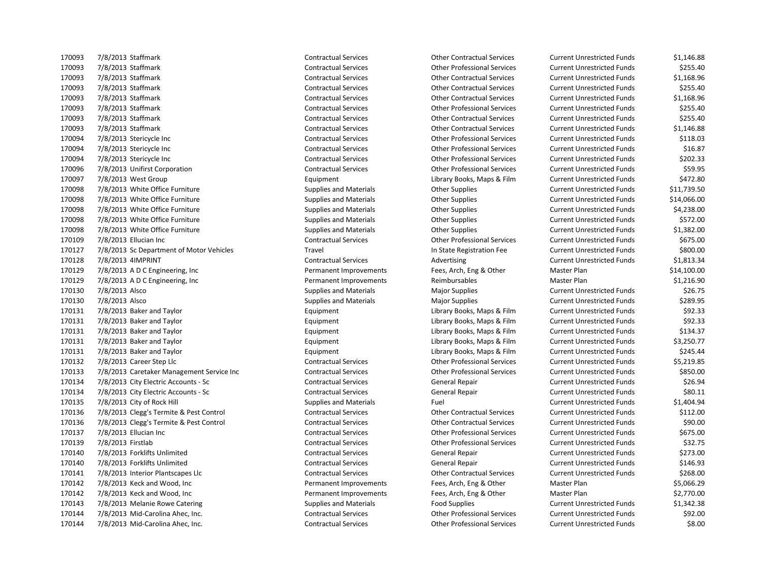7/8/2013 Staffmark Contractual Services Other Professional Services Current Unrestricted Funds \$255.40 7/8/2013 Staffmark Contractual Services Other Contractual Services Current Unrestricted Funds \$1,168.96 7/8/2013 Staffmark Contractual Services Other Contractual Services Current Unrestricted Funds \$255.40 7/8/2013 Staffmark Contractual Services Other Contractual Services Current Unrestricted Funds \$1,168.96 7/8/2013 Staffmark Contractual Services Other Professional Services Current Unrestricted Funds \$255.40 7/8/2013 Staffmark Contractual Services Other Contractual Services Current Unrestricted Funds \$255.40 7/8/2013 Staffmark Contractual Services Other Contractual Services Current Unrestricted Funds \$1,146.88 7/8/2013 Stericycle Inc Contractual Services Other Professional Services Current Unrestricted Funds \$118.03 7/8/2013 Stericycle Inc Contractual Services Other Professional Services Current Unrestricted Funds \$16.87 7/8/2013 Stericycle Inc Contractual Services Other Professional Services Current Unrestricted Funds \$202.33 7/8/2013 Unifirst Corporation Contractual Services Other Professional Services Current Unrestricted Funds \$59.95 7/8/2013 West Group Equipment Library Books, Maps & Film Current Unrestricted Funds \$472.80 170098 7/8/2013 White Office Furniture Supplies and Materials Current Unrestricted Funds Stupplies Current Unrestricted Funds \$11,739.50 170098 7/8/2013 White Office Furniture 19th Supplies and Materials Current Unrestricted Funds 514,066.00 170098 7/8/2013 White Office Furniture Supplies and Materials Current Unrestricted Funds 54,238.00 170098 7/8/2013 White Office Furniture Supplies and Materials Current Unrestricted Funds 5572.00 170098 7/8/2013 White Office Furniture Supplies and Materials Current Unrestricted Funds 51,382.00 7/8/2013 Ellucian Inc Contractual Services Other Professional Services Current Unrestricted Funds \$675.00 7/8/2013 Sc Department of Motor Vehicles Travel In State Registration Fee Current Unrestricted Funds \$800.00 7/8/2013 4IMPRINT Contractual Services Advertising Current Unrestricted Funds \$1,813.34 7/8/2013 A D C Engineering, Inc Permanent Improvements Fees, Arch, Eng & Other Master Plan \$14,100.00 7/8/2013 A D C Engineering, Inc Permanent Improvements Reimbursables Master Plan \$1,216.90 170130 7/8/2013 Alsco Supplies and Materials Major Supplies Major Supplies Current Unrestricted Funds \$26.75 170130 7/8/2013 Alsco Supplies and Materials Materials Major Supplies Major Supplies Current Unrestricted Funds \$289.95 7/8/2013 Baker and Taylor Equipment Library Books, Maps & Film Current Unrestricted Funds \$92.33 7/8/2013 Baker and Taylor Equipment Library Books, Maps & Film Current Unrestricted Funds \$92.33 7/8/2013 Baker and Taylor Equipment Library Books, Maps & Film Current Unrestricted Funds \$134.37 7/8/2013 Baker and Taylor Equipment Library Books, Maps & Film Current Unrestricted Funds \$3,250.77 7/8/2013 Baker and Taylor Equipment Library Books, Maps & Film Current Unrestricted Funds \$245.44 7/8/2013 Career Step Llc Contractual Services Other Professional Services Current Unrestricted Funds \$5,219.85 7/8/2013 Caretaker Management Service Inc Contractual Services Other Professional Services Current Unrestricted Funds \$850.00 7/8/2013 City Electric Accounts - Sc Contractual Services General Repair Current Unrestricted Funds \$26.94 7/8/2013 City Electric Accounts - Sc Contractual Services General Repair Current Unrestricted Funds \$80.11 7/8/2013 City of Rock Hill Supplies and Materials Fuel Current Unrestricted Funds \$1,404.94 7/8/2013 Clegg's Termite & Pest Control Contractual Services Other Contractual Services Current Unrestricted Funds \$112.00 7/8/2013 Clegg's Termite & Pest Control Contractual Services Other Contractual Services Current Unrestricted Funds \$90.00 7/8/2013 Ellucian Inc Contractual Services Other Professional Services Current Unrestricted Funds \$675.00 7/8/2013 Firstlab Contractual Services Other Professional Services Current Unrestricted Funds \$32.75 7/8/2013 Forklifts Unlimited Contractual Services General Repair Current Unrestricted Funds \$273.00 7/8/2013 Forklifts Unlimited Contractual Services General Repair Current Unrestricted Funds \$146.93 7/8/2013 Interior Plantscapes Llc Contractual Services Other Contractual Services Current Unrestricted Funds \$268.00 7/8/2013 Keck and Wood, Inc Permanent Improvements Fees, Arch, Eng & Other Master Plan \$5,066.29 7/8/2013 Keck and Wood, Inc Permanent Improvements Fees, Arch, Eng & Other Master Plan \$2,770.00 7/8/2013 Melanie Rowe Catering Supplies and Materials Food Supplies Current Unrestricted Funds \$1,342.38 7/8/2013 Mid-Carolina Ahec, Inc. Contractual Services Other Professional Services Current Unrestricted Funds \$92.00 7/8/2013 Mid-Carolina Ahec, Inc. Contractual Services Other Professional Services Current Unrestricted Funds \$8.00

7/8/2013 Staffmark Contractual Services Other Contractual Services Current Unrestricted Funds \$1,146.88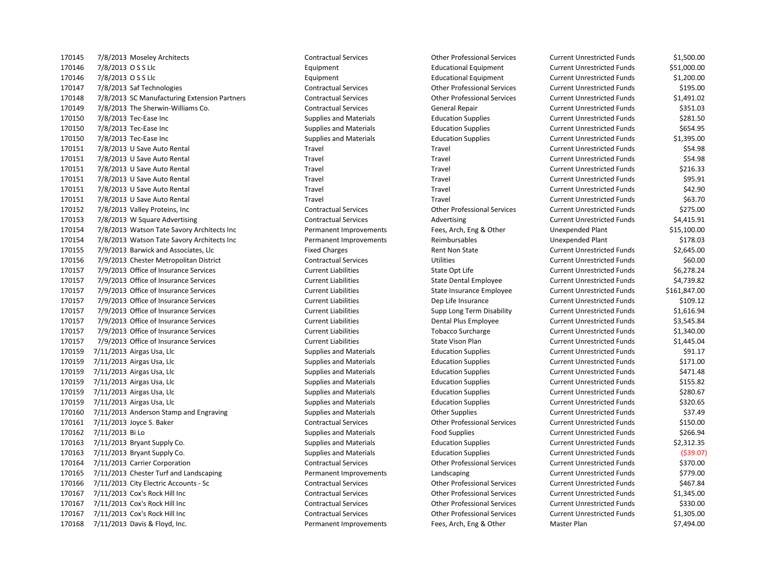7/8/2013 O S S Llc Equipment Educational Equipment Current Unrestricted Funds \$51,000.00 7/8/2013 O S S Llc Equipment Educational Equipment Current Unrestricted Funds \$1,200.00 7/8/2013 Saf Technologies Contractual Services Other Professional Services Current Unrestricted Funds \$195.00 7/8/2013 SC Manufacturing Extension Partners Contractual Services Other Professional Services Current Unrestricted Funds \$1,491.02 7/8/2013 The Sherwin-Williams Co. Contractual Services General Repair Current Unrestricted Funds \$351.03 170150 7/8/2013 Tec-Ease Inc Supplies and Materials Education Supplies Current Unrestricted Funds \$281.50 170150 7/8/2013 Tec-Ease Inc Supplies and Materials Education Supplies Current Unrestricted Funds \$654.95 7/8/2013 Tec-Ease Inc Supplies and Materials Education Supplies Current Unrestricted Funds \$1,395.00 7/8/2013 U Save Auto Rental Travel Travel Current Unrestricted Funds \$54.98 7/8/2013 U Save Auto Rental Travel Travel Current Unrestricted Funds \$54.98 7/8/2013 U Save Auto Rental Travel Travel Current Unrestricted Funds \$216.33 7/8/2013 U Save Auto Rental Travel Travel Current Unrestricted Funds \$95.91 7/8/2013 U Save Auto Rental Travel Travel Current Unrestricted Funds \$42.90 7/8/2013 U Save Auto Rental Travel Travel Current Unrestricted Funds \$63.70 7/8/2013 Valley Proteins, Inc Contractual Services Other Professional Services Current Unrestricted Funds \$275.00 7/8/2013 W Square Advertising Contractual Services Advertising Current Unrestricted Funds \$4,415.91 7/8/2013 Watson Tate Savory Architects Inc Permanent Improvements Fees, Arch, Eng & Other Unexpended Plant \$15,100.00 7/8/2013 Watson Tate Savory Architects Inc Permanent Improvements Reimbursables Unexpended Plant \$178.03 7/9/2013 Barwick and Associates, Llc Fixed Charges Rent Non State Current Unrestricted Funds \$2,645.00 7/9/2013 Chester Metropolitan District Contractual Services Utilities Current Unrestricted Funds \$60.00 170157 7/9/2013 Office of Insurance Services The State Current Liabilities Current Liabilities Current Liabilities Current Liabilities Current Liabilities Current Liabilities Current Liabilities Current Liabilities Current 7/9/2013 Office of Insurance Services Current Liabilities State Dental Employee Current Unrestricted Funds \$4,739.82 7/9/2013 Office of Insurance Services Current Liabilities State Insurance Employee Current Unrestricted Funds \$161,847.00 7/9/2013 Office of Insurance Services Current Liabilities Dep Life Insurance Current Unrestricted Funds \$109.12 7/9/2013 Office of Insurance Services Current Liabilities Supp Long Term Disability Current Unrestricted Funds \$1,616.94 7/9/2013 Office of Insurance Services Current Liabilities Dental Plus Employee Current Unrestricted Funds \$3,545.84 7/9/2013 Office of Insurance Services Current Liabilities Tobacco Surcharge Current Unrestricted Funds \$1,340.00 170157 7/9/2013 Office of Insurance Services The Surrent Liabilities Current Liabilities Current Unrestricted Funds \$1,445.04 170159 7/11/2013 Airgas Usa, Llc **Supplies and Materials** Education Supplies Current Unrestricted Funds \$91.17 170159 7/11/2013 Airgas Usa, Llc Supplies and Materials Supplies and Materials Education Supplies Current Unrestricted Funds \$171.00 170159 7/11/2013 Airgas Usa, Llc Carrent Current Unrestricted Funds Current Unrestricted Funds Current Unrestricted Funds S471.48 170159 7/11/2013 Airgas Usa, Llc Supplies and Materials Supplies and Materials Education Supplies Current Unrestricted Funds \$155.82 7/11/2013 Airgas Usa, Llc Supplies and Materials Education Supplies Current Unrestricted Funds \$280.67 7/11/2013 Airgas Usa, Llc Supplies and Materials Education Supplies Current Unrestricted Funds \$320.65 170160 7/11/2013 Anderson Stamp and Engraving Supplies and Materials Current Unrestricted Funds (37.49 States and Materials Current Unrestricted Funds \$37.49 7/11/2013 Joyce S. Baker Contractual Services Other Professional Services Current Unrestricted Funds \$150.00 170162 7/11/2013 Bi Lo Supplies and Materials Food Supplies Food Supplies Current Unrestricted Funds \$266.94 7/11/2013 Bryant Supply Co. Supplies and Materials Education Supplies Current Unrestricted Funds \$2,312.35 7/11/2013 Bryant Supply Co. Supplies and Materials Education Supplies Current Unrestricted Funds (\$39.07) 7/11/2013 Carrier Corporation Contractual Services Other Professional Services Current Unrestricted Funds \$370.00 7/11/2013 Chester Turf and Landscaping Permanent Improvements Landscaping Current Unrestricted Funds \$779.00 7/11/2013 City Electric Accounts - Sc Contractual Services Other Professional Services Current Unrestricted Funds \$467.84 7/11/2013 Cox's Rock Hill Inc Contractual Services Other Professional Services Current Unrestricted Funds \$1,345.00 7/11/2013 Cox's Rock Hill Inc Contractual Services Other Professional Services Current Unrestricted Funds \$330.00 7/11/2013 Cox's Rock Hill Inc Contractual Services Other Professional Services Current Unrestricted Funds \$1,305.00 7/11/2013 Davis & Floyd, Inc. Permanent Improvements Fees, Arch, Eng & Other Master Plan \$7,494.00

7/8/2013 Moseley Architects Contractual Services Other Professional Services Current Unrestricted Funds \$1,500.00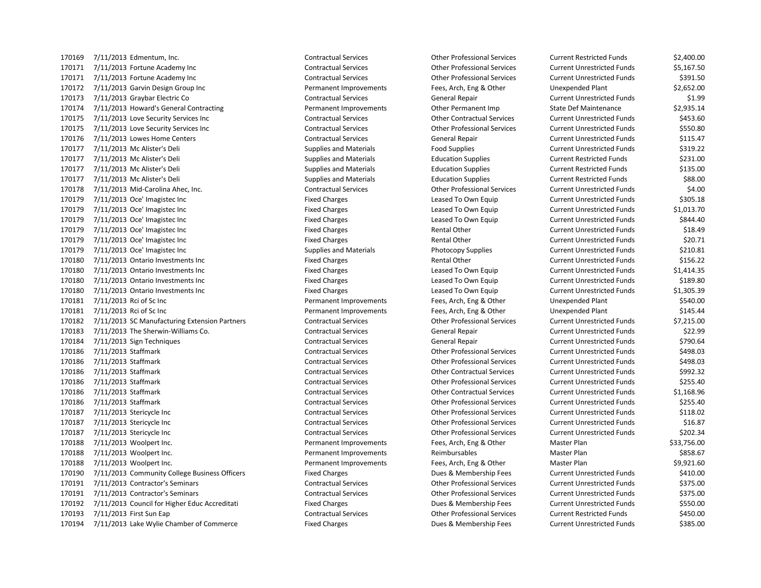7/11/2013 Edmentum, Inc. Contractual Services Other Professional Services Current Restricted Funds \$2,400.00 7/11/2013 Fortune Academy Inc Contractual Services Other Professional Services Current Unrestricted Funds \$5,167.50 7/11/2013 Fortune Academy Inc Contractual Services Other Professional Services Current Unrestricted Funds \$391.50 7/11/2013 Garvin Design Group Inc Permanent Improvements Fees, Arch, Eng & Other Unexpended Plant \$2,652.00 7/11/2013 Graybar Electric Co Contractual Services General Repair Current Unrestricted Funds \$1.99 170174 7/11/2013 Howard's General Contracting entity reformance Permanent Improvements Other Permanent Imp State Def Maintenance \$2,935.14 7/11/2013 Love Security Services Inc Contractual Services Other Contractual Services Current Unrestricted Funds \$453.60 7/11/2013 Love Security Services Inc Contractual Services Other Professional Services Current Unrestricted Funds \$550.80 7/11/2013 Lowes Home Centers Contractual Services General Repair Current Unrestricted Funds \$115.47 7/11/2013 Mc Alister's Deli Supplies and Materials Food Supplies Current Unrestricted Funds \$319.22 7/11/2013 Mc Alister's Deli Supplies and Materials Education Supplies Current Restricted Funds \$231.00 7/11/2013 Mc Alister's Deli Supplies and Materials Education Supplies Current Restricted Funds \$135.00 7/11/2013 Mc Alister's Deli Supplies and Materials Education Supplies Current Restricted Funds \$88.00 7/11/2013 Mid-Carolina Ahec, Inc. Contractual Services Other Professional Services Current Unrestricted Funds \$4.00 170179 7/11/2013 Oce' Imagistec Inc Current Duragistec Inc Fixed Charges Fixed Charges Leased To Own Equip Current Unrestricted Funds \$305.18 170179 7/11/2013 Oce' Imagistec Inc Current Unity Current Unity Current Unrestricted Funds 51,013.70 170179 7/11/2013 Oce' Imagistec Inc Current Unity Current Unrestricted Funds Current Unrestricted Funds (5844.40 170179 7/11/2013 Oce' Imagistec Inc Current Unit Current Unit Current Unrestricted Funds 518.49 170179 7/11/2013 Oce' Imagistec Inc Current Current Unrestricted Funds Current Unrestricted Funds 520.71 170179 7/11/2013 Oce' Imagistec Inc Current Current University Current University Current Unrestricted Funds to the S210.81 7/11/2013 Ontario Investments Inc Fixed Charges Rental Other Current Unrestricted Funds \$156.22 7/11/2013 Ontario Investments Inc Fixed Charges Leased To Own Equip Current Unrestricted Funds \$1,414.35 7/11/2013 Ontario Investments Inc Fixed Charges Leased To Own Equip Current Unrestricted Funds \$189.80 7/11/2013 Ontario Investments Inc Fixed Charges Leased To Own Equip Current Unrestricted Funds \$1,305.39 7/11/2013 Rci of Sc Inc Permanent Improvements Fees, Arch, Eng & Other Unexpended Plant \$540.00 7/11/2013 Rci of Sc Inc Permanent Improvements Fees, Arch, Eng & Other Unexpended Plant \$145.44 7/11/2013 SC Manufacturing Extension Partners Contractual Services Other Professional Services Current Unrestricted Funds \$7,215.00 7/11/2013 The Sherwin-Williams Co. Contractual Services General Repair Current Unrestricted Funds \$22.99 7/11/2013 Sign Techniques Contractual Services General Repair Current Unrestricted Funds \$790.64 7/11/2013 Staffmark Contractual Services Other Professional Services Current Unrestricted Funds \$498.03 7/11/2013 Staffmark Contractual Services Other Professional Services Current Unrestricted Funds \$498.03 7/11/2013 Staffmark Contractual Services Other Contractual Services Current Unrestricted Funds \$992.32 7/11/2013 Staffmark Contractual Services Other Professional Services Current Unrestricted Funds \$255.40 7/11/2013 Staffmark Contractual Services Other Contractual Services Current Unrestricted Funds \$1,168.96 7/11/2013 Staffmark Contractual Services Other Professional Services Current Unrestricted Funds \$255.40 7/11/2013 Stericycle Inc Contractual Services Other Professional Services Current Unrestricted Funds \$118.02 7/11/2013 Stericycle Inc Contractual Services Other Professional Services Current Unrestricted Funds \$16.87 7/11/2013 Stericycle Inc Contractual Services Other Professional Services Current Unrestricted Funds \$202.34 170188 7/11/2013 Woolpert Inc. etc. etc. Arch, Englished Tees, Arch, Eng & Other Master Plan \$33,756.000 1170188 7/11/2013 Woolpert Inc. 170188 7/11/2013 Woolpert Inc. Note that the Supermanent Improvements Reimbursables Master Plan Master Plan \$858.67 7/11/2013 Woolpert Inc. Permanent Improvements Fees, Arch, Eng & Other Master Plan \$9,921.60 170190 7/11/2013 Community College Business Officers Fixed Charges Fixed Charges Dues & Membership Fees Current Unrestricted Funds \$410.00 7/11/2013 Contractor's Seminars Contractual Services Other Professional Services Current Unrestricted Funds \$375.00 7/11/2013 Contractor's Seminars Contractual Services Other Professional Services Current Unrestricted Funds \$375.00 7/11/2013 Council for Higher Educ Accreditati Fixed Charges Dues & Membership Fees Current Unrestricted Funds \$550.00 7/11/2013 First Sun Eap Contractual Services Other Professional Services Current Restricted Funds \$450.00 7/11/2013 Lake Wylie Chamber of Commerce Fixed Charges Dues & Membership Fees Current Unrestricted Funds \$385.00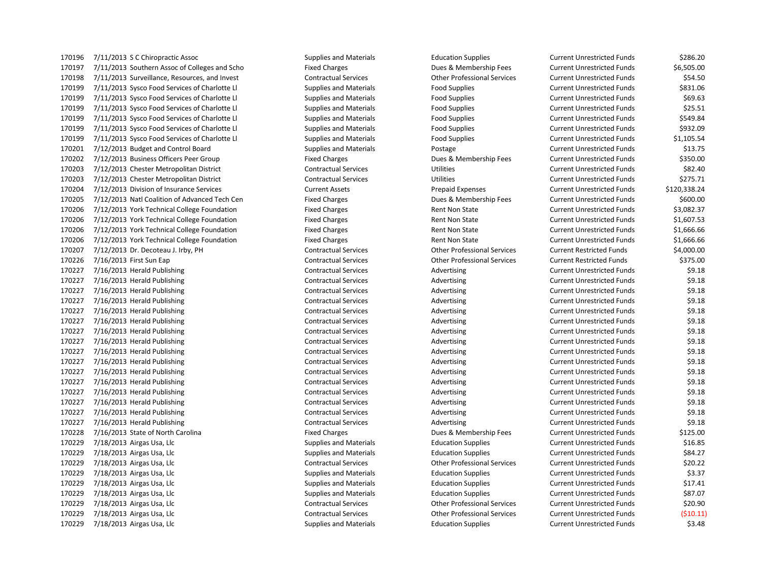7/11/2013 S C Chiropractic Assoc Supplies and Materials Education Supplies Current Unrestricted Funds \$286.20 7/11/2013 Southern Assoc of Colleges and Scho Fixed Charges Dues & Membership Fees Current Unrestricted Funds \$6,505.00 7/11/2013 Surveillance, Resources, and Invest Contractual Services Other Professional Services Current Unrestricted Funds \$54.50 170199 7/11/2013 Sysco Food Services of Charlotte Ll Supplies and Materials Food Supplies Current Unrestricted Funds \$831.06 170199 7/11/2013 Sysco Food Services of Charlotte Ll Supplies and Materials Food Supplies Current Unrestricted Funds \$69.63 170199 7/11/2013 Sysco Food Services of Charlotte Ll Supplies and Materials Food Supplies Current Unrestricted Funds \$25.51 170199 7/11/2013 Sysco Food Services of Charlotte Ll Supplies and Materials Food Supplies Current Unrestricted Funds \$549.84 170199 7/11/2013 Sysco Food Services of Charlotte Ll Supplies and Materials Food Supplies Current Unrestricted Funds \$932.09 170199 7/11/2013 Sysco Food Services of Charlotte Ll Supplies and Materials Food Supplies Current Unrestricted Funds \$1,105.54 7/12/2013 Budget and Control Board Supplies and Materials Postage Current Unrestricted Funds \$13.75 170202 7/12/2013 Business Officers Peer Group Fixed Charges Fixed Charges Dues & Membership Fees Current Unrestricted Funds \$350.00 7/12/2013 Chester Metropolitan District Contractual Services Utilities Current Unrestricted Funds \$82.40 7/12/2013 Chester Metropolitan District Contractual Services Utilities Current Unrestricted Funds \$275.71 7/12/2013 Division of Insurance Services Current Assets Prepaid Expenses Current Unrestricted Funds \$120,338.24 7/12/2013 Natl Coalition of Advanced Tech Cen Fixed Charges Dues & Membership Fees Current Unrestricted Funds \$600.00 7/12/2013 York Technical College Foundation Fixed Charges Rent Non State Current Unrestricted Funds \$3,082.37 7/12/2013 York Technical College Foundation Fixed Charges Rent Non State Current Unrestricted Funds \$1,607.53 7/12/2013 York Technical College Foundation Fixed Charges Rent Non State Current Unrestricted Funds \$1,666.66 7/12/2013 York Technical College Foundation Fixed Charges Rent Non State Current Unrestricted Funds \$1,666.66 7/12/2013 Dr. Decoteau J. Irby, PH Contractual Services Other Professional Services Current Restricted Funds \$4,000.00 7/16/2013 First Sun Eap Contractual Services Other Professional Services Current Restricted Funds \$375.00 7/16/2013 Herald Publishing Contractual Services Advertising Current Unrestricted Funds \$9.18 7/16/2013 Herald Publishing Contractual Services Advertising Current Unrestricted Funds \$9.18 7/16/2013 Herald Publishing Contractual Services Advertising Current Unrestricted Funds \$9.18 7/16/2013 Herald Publishing Contractual Services Advertising Current Unrestricted Funds \$9.18 7/16/2013 Herald Publishing Contractual Services Advertising Current Unrestricted Funds \$9.18 7/16/2013 Herald Publishing Contractual Services Advertising Current Unrestricted Funds \$9.18 170227 7/16/2013 Herald Publishing The Contractual Services Contractual Services Advertising Current Unrestricted Funds \$9.18 7/16/2013 Herald Publishing Contractual Services Advertising Current Unrestricted Funds \$9.18 170227 7/16/2013 Herald Publishing The Contractual Services Contractual Services Advertising Current Unrestricted Funds \$9.18 7/16/2013 Herald Publishing Contractual Services Advertising Current Unrestricted Funds \$9.18 7/16/2013 Herald Publishing Contractual Services Advertising Current Unrestricted Funds \$9.18 7/16/2013 Herald Publishing Contractual Services Advertising Current Unrestricted Funds \$9.18 7/16/2013 Herald Publishing Contractual Services Advertising Current Unrestricted Funds \$9.18 7/16/2013 Herald Publishing Contractual Services Advertising Current Unrestricted Funds \$9.18 7/16/2013 Herald Publishing Contractual Services Advertising Current Unrestricted Funds \$9.18 7/16/2013 Herald Publishing Contractual Services Advertising Current Unrestricted Funds \$9.18 7/16/2013 State of North Carolina Fixed Charges Dues & Membership Fees Current Unrestricted Funds \$125.00 170229 7/18/2013 Airgas Usa, Llc Supplies and Materials Education Supplies Current Unrestricted Funds \$16.85 7/18/2013 Airgas Usa, Llc Supplies and Materials Education Supplies Current Unrestricted Funds \$84.27 7/18/2013 Airgas Usa, Llc Contractual Services Other Professional Services Current Unrestricted Funds \$20.22 170229 7/18/2013 Airgas Usa, Llc Supplies and Materials Education Supplies Current Unrestricted Funds \$3.37 170229 7/18/2013 Airgas Usa, Llc Supplies and Materials Supplies and Materials Education Supplies Current Unrestricted Funds \$17.41 170229 7/18/2013 Airgas Usa, Llc Supplies and Materials Supplies and Materials Education Supplies Current Unrestricted Funds \$87.07 7/18/2013 Airgas Usa, Llc Contractual Services Other Professional Services Current Unrestricted Funds \$20.90 7/18/2013 Airgas Usa, Llc Contractual Services Other Professional Services Current Unrestricted Funds (\$10.11) 170229 7/18/2013 Airgas Usa, Llc Supplies and Materials Supplies and Materials Education Supplies Current Unrestricted Funds \$3.48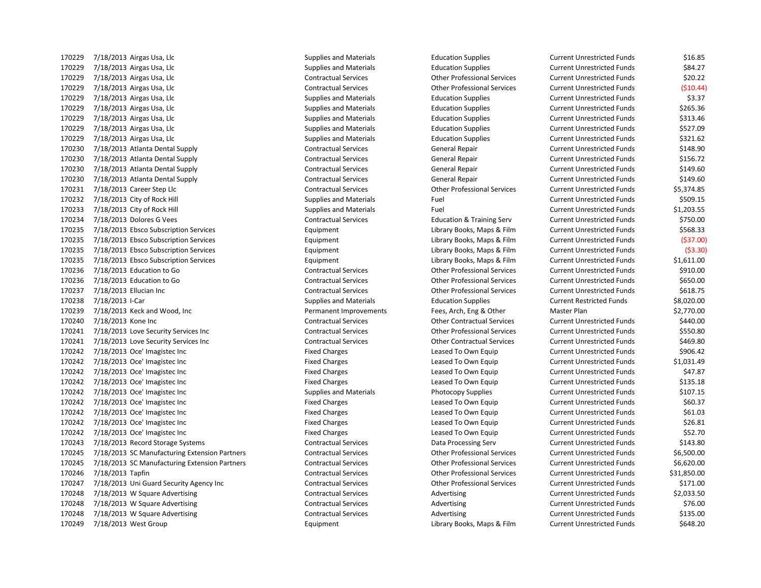170229 7/18/2013 Airgas Usa, Llc Supplies and Materials Education Supplies Current Unrestricted Funds \$16.85 7/18/2013 Airgas Usa, Llc Supplies and Materials Education Supplies Current Unrestricted Funds \$84.27 7/18/2013 Airgas Usa, Llc Contractual Services Other Professional Services Current Unrestricted Funds \$20.22 7/18/2013 Airgas Usa, Llc Contractual Services Other Professional Services Current Unrestricted Funds (\$10.44) 170229 7/18/2013 Airgas Usa, Llc Supplies and Materials Education Supplies Current Unrestricted Funds \$3.37 170229 7/18/2013 Airgas Usa, Llc Supplies and Materials Supplies and Materials Education Supplies Current Unrestricted Funds \$265.36 170229 7/18/2013 Airgas Usa, Llc Supplies and Materials Supplies and Materials Education Supplies Current Unrestricted Funds \$313.46 7/18/2013 Airgas Usa, Llc Supplies and Materials Education Supplies Current Unrestricted Funds \$527.09 7/18/2013 Airgas Usa, Llc Supplies and Materials Education Supplies Current Unrestricted Funds \$321.62 7/18/2013 Atlanta Dental Supply Contractual Services General Repair Current Unrestricted Funds \$148.90 7/18/2013 Atlanta Dental Supply Contractual Services General Repair Current Unrestricted Funds \$156.72 7/18/2013 Atlanta Dental Supply Contractual Services General Repair Current Unrestricted Funds \$149.60 7/18/2013 Atlanta Dental Supply Contractual Services General Repair Current Unrestricted Funds \$149.60 7/18/2013 Career Step Llc Contractual Services Other Professional Services Current Unrestricted Funds \$5,374.85 7/18/2013 City of Rock Hill Supplies and Materials Fuel Current Unrestricted Funds \$509.15 7/18/2013 City of Rock Hill Supplies and Materials Fuel Current Unrestricted Funds \$1,203.55 7/18/2013 Dolores G Vees Contractual Services Education & Training Serv Current Unrestricted Funds \$750.00 7/18/2013 Ebsco Subscription Services Equipment Library Books, Maps & Film Current Unrestricted Funds \$568.33 7/18/2013 Ebsco Subscription Services Equipment Library Books, Maps & Film Current Unrestricted Funds (\$37.00) 7/18/2013 Ebsco Subscription Services Equipment Library Books, Maps & Film Current Unrestricted Funds (\$3.30) 7/18/2013 Ebsco Subscription Services Equipment Library Books, Maps & Film Current Unrestricted Funds \$1,611.00 7/18/2013 Education to Go Contractual Services Other Professional Services Current Unrestricted Funds \$910.00 7/18/2013 Education to Go Contractual Services Other Professional Services Current Unrestricted Funds \$650.00 7/18/2013 Ellucian Inc Contractual Services Other Professional Services Current Unrestricted Funds \$618.75 170238 7/18/2013 I-Car Supplies and Materials Education Supplies Current Restricted Funds \$8,020.00 7/18/2013 Keck and Wood, Inc Permanent Improvements Fees, Arch, Eng & Other Master Plan \$2,770.00 7/18/2013 Kone Inc Contractual Services Other Contractual Services Current Unrestricted Funds \$440.00 7/18/2013 Love Security Services Inc Contractual Services Other Professional Services Current Unrestricted Funds \$550.80 7/18/2013 Love Security Services Inc Contractual Services Other Contractual Services Current Unrestricted Funds \$469.80 170242 7/18/2013 Oce' Imagistec Inc Current Unit Fixed Charges Fixed Charges Leased To Own Equip Current Unrestricted Funds \$906.42 7/18/2013 Oce' Imagistec Inc Fixed Charges Leased To Own Equip Current Unrestricted Funds \$1,031.49 7/18/2013 Oce' Imagistec Inc Fixed Charges Leased To Own Equip Current Unrestricted Funds \$47.87 7/18/2013 Oce' Imagistec Inc Fixed Charges Leased To Own Equip Current Unrestricted Funds \$135.18 170242 7/18/2013 Oce' Imagistec Inc Current Current University Current University Current Unrestricted Funds 5107.15 7/18/2013 Oce' Imagistec Inc Fixed Charges Leased To Own Equip Current Unrestricted Funds \$60.37 7/18/2013 Oce' Imagistec Inc Fixed Charges Leased To Own Equip Current Unrestricted Funds \$61.03 7/18/2013 Oce' Imagistec Inc Fixed Charges Leased To Own Equip Current Unrestricted Funds \$26.81 7/18/2013 Oce' Imagistec Inc Fixed Charges Leased To Own Equip Current Unrestricted Funds \$52.70 7/18/2013 Record Storage Systems Contractual Services Data Processing Serv Current Unrestricted Funds \$143.80 7/18/2013 SC Manufacturing Extension Partners Contractual Services Other Professional Services Current Unrestricted Funds \$6,500.00 7/18/2013 SC Manufacturing Extension Partners Contractual Services Other Professional Services Current Unrestricted Funds \$6,620.00 7/18/2013 Tapfin Contractual Services Other Professional Services Current Unrestricted Funds \$31,850.00 7/18/2013 Uni Guard Security Agency Inc Contractual Services Other Professional Services Current Unrestricted Funds \$171.00 7/18/2013 W Square Advertising Contractual Services Advertising Current Unrestricted Funds \$2,033.50 7/18/2013 W Square Advertising Contractual Services Advertising Current Unrestricted Funds \$76.00 170248 7/18/2013 W Square Advertising Contractual Services Contractual Services Advertising Current Unrestricted Funds \$135.00

7/18/2013 West Group Equipment Library Books, Maps & Film Current Unrestricted Funds \$648.20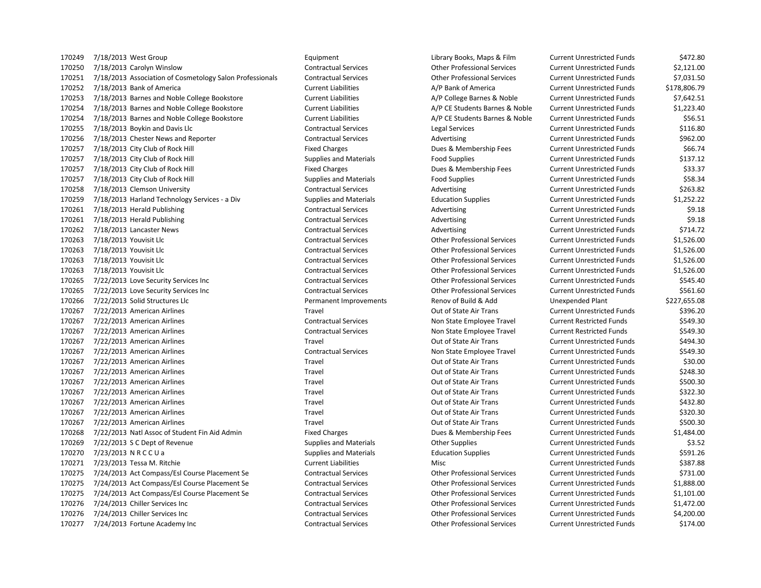7/18/2013 West Group Equipment Library Books, Maps & Film Current Unrestricted Funds \$472.80 7/18/2013 Carolyn Winslow Contractual Services Other Professional Services Current Unrestricted Funds \$2,121.00 7/18/2013 Association of Cosmetology Salon Professionals Contractual Services Other Professional Services Current Unrestricted Funds \$7,031.50 7/18/2013 Bank of America Current Liabilities A/P Bank of America Current Unrestricted Funds \$178,806.79 7/18/2013 Barnes and Noble College Bookstore Current Liabilities A/P College Barnes & Noble Current Unrestricted Funds \$7,642.51 7/18/2013 Barnes and Noble College Bookstore Current Liabilities A/P CE Students Barnes & Noble Current Unrestricted Funds \$1,223.40 7/18/2013 Barnes and Noble College Bookstore Current Liabilities A/P CE Students Barnes & Noble Current Unrestricted Funds \$56.51 7/18/2013 Boykin and Davis Llc Contractual Services Legal Services Current Unrestricted Funds \$116.80 7/18/2013 Chester News and Reporter Contractual Services Advertising Current Unrestricted Funds \$962.00 7/18/2013 City Club of Rock Hill Fixed Charges Dues & Membership Fees Current Unrestricted Funds \$66.74 170257 7/18/2013 City Club of Rock Hill Supplies and Materials Food Supplies Current Unrestricted Funds \$137.12 170257 7/18/2013 City Club of Rock Hill **Fixed Charges** Fixed Charges Dues & Membership Fees Current Unrestricted Funds \$33.37 170257 7/18/2013 City Club of Rock Hill Supplies and Materials Food Supplies Food Supplies Current Unrestricted Funds \$58.34 7/18/2013 Clemson University Contractual Services Advertising Current Unrestricted Funds \$263.82 7/18/2013 Harland Technology Services - a Div Supplies and Materials Education Supplies Current Unrestricted Funds \$1,252.22 7/18/2013 Herald Publishing Contractual Services Advertising Current Unrestricted Funds \$9.18 7/18/2013 Herald Publishing Contractual Services Advertising Current Unrestricted Funds \$9.18 7/18/2013 Lancaster News Contractual Services Advertising Current Unrestricted Funds \$714.72 7/18/2013 Youvisit Llc Contractual Services Other Professional Services Current Unrestricted Funds \$1,526.00 7/18/2013 Youvisit Llc Contractual Services Other Professional Services Current Unrestricted Funds \$1,526.00 7/18/2013 Youvisit Llc Contractual Services Other Professional Services Current Unrestricted Funds \$1,526.00 7/18/2013 Youvisit Llc Contractual Services Other Professional Services Current Unrestricted Funds \$1,526.00 7/22/2013 Love Security Services Inc Contractual Services Other Professional Services Current Unrestricted Funds \$545.40 7/22/2013 Love Security Services Inc Contractual Services Other Professional Services Current Unrestricted Funds \$561.60 7/22/2013 Solid Structures Llc Permanent Improvements Renov of Build & Add Unexpended Plant \$227,655.08 7/22/2013 American Airlines Travel Out of State Air Trans Current Unrestricted Funds \$396.20 7/22/2013 American Airlines Contractual Services Non State Employee Travel Current Restricted Funds \$549.30 7/22/2013 American Airlines Contractual Services Non State Employee Travel Current Restricted Funds \$549.30 7/22/2013 American Airlines Travel Out of State Air Trans Current Unrestricted Funds \$494.30 7/22/2013 American Airlines Contractual Services Non State Employee Travel Current Unrestricted Funds \$549.30 7/22/2013 American Airlines Travel Out of State Air Trans Current Unrestricted Funds \$30.00 7/22/2013 American Airlines Travel Out of State Air Trans Current Unrestricted Funds \$248.30 7/22/2013 American Airlines Travel Out of State Air Trans Current Unrestricted Funds \$500.30 7/22/2013 American Airlines Travel Out of State Air Trans Current Unrestricted Funds \$322.30 7/22/2013 American Airlines Travel Out of State Air Trans Current Unrestricted Funds \$432.80 7/22/2013 American Airlines Travel Out of State Air Trans Current Unrestricted Funds \$320.30 7/22/2013 American Airlines Travel Out of State Air Trans Current Unrestricted Funds \$500.30 7/22/2013 Natl Assoc of Student Fin Aid Admin Fixed Charges Dues & Membership Fees Current Unrestricted Funds \$1,484.00 170269 7/22/2013 S C Dept of Revenue Supplies and Materials Current Unrestricted Funds Saupulies Current Unrestricted Funds \$3.52 7/23/2013 N R C C U a Supplies and Materials Education Supplies Current Unrestricted Funds \$591.26 7/23/2013 Tessa M. Ritchie Current Liabilities Misc Current Unrestricted Funds \$387.88 7/24/2013 Act Compass/Esl Course Placement Se Contractual Services Other Professional Services Current Unrestricted Funds \$731.00 7/24/2013 Act Compass/Esl Course Placement Se Contractual Services Other Professional Services Current Unrestricted Funds \$1,888.00 7/24/2013 Act Compass/Esl Course Placement Se Contractual Services Other Professional Services Current Unrestricted Funds \$1,101.00 7/24/2013 Chiller Services Inc Contractual Services Other Professional Services Current Unrestricted Funds \$1,472.00 7/24/2013 Chiller Services Inc Contractual Services Other Professional Services Current Unrestricted Funds \$4,200.00 7/24/2013 Fortune Academy Inc Contractual Services Other Professional Services Current Unrestricted Funds \$174.00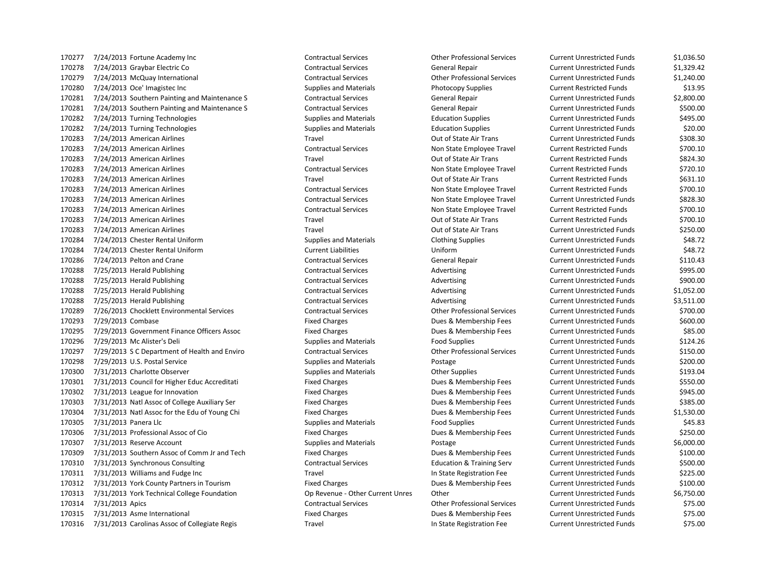7/24/2013 Fortune Academy Inc Contractual Services Other Professional Services Current Unrestricted Funds \$1,036.50 7/24/2013 Graybar Electric Co Contractual Services General Repair Current Unrestricted Funds \$1,329.42 7/24/2013 McQuay International Contractual Services Other Professional Services Current Unrestricted Funds \$1,240.00 170280 7/24/2013 Oce' Imagistec Inc Current Restricted Funds Supplies and Materials Current Restricted Funds \$13.95 7/24/2013 Southern Painting and Maintenance S Contractual Services General Repair Current Unrestricted Funds \$2,800.00 7/24/2013 Southern Painting and Maintenance S Contractual Services General Repair Current Unrestricted Funds \$500.00 7/24/2013 Turning Technologies Supplies and Materials Education Supplies Current Unrestricted Funds \$495.00 7/24/2013 Turning Technologies Supplies and Materials Education Supplies Current Unrestricted Funds \$20.00 7/24/2013 American Airlines Travel Out of State Air Trans Current Unrestricted Funds \$308.30 7/24/2013 American Airlines Contractual Services Non State Employee Travel Current Restricted Funds \$700.10 7/24/2013 American Airlines Travel Out of State Air Trans Current Restricted Funds \$824.30 7/24/2013 American Airlines Contractual Services Non State Employee Travel Current Restricted Funds \$720.10 7/24/2013 American Airlines Travel Out of State Air Trans Current Restricted Funds \$631.10 7/24/2013 American Airlines Contractual Services Non State Employee Travel Current Restricted Funds \$700.10 7/24/2013 American Airlines Contractual Services Non State Employee Travel Current Unrestricted Funds \$828.30 7/24/2013 American Airlines Contractual Services Non State Employee Travel Current Restricted Funds \$700.10 7/24/2013 American Airlines Travel Out of State Air Trans Current Restricted Funds \$700.10 7/24/2013 American Airlines Travel Out of State Air Trans Current Unrestricted Funds \$250.00 7/24/2013 Chester Rental Uniform Supplies and Materials Clothing Supplies Current Unrestricted Funds \$48.72 7/24/2013 Chester Rental Uniform Current Liabilities Uniform Current Unrestricted Funds \$48.72 7/24/2013 Pelton and Crane Contractual Services General Repair Current Unrestricted Funds \$110.43 170288 7/25/2013 Herald Publishing Contractual Services Contractual Services Advertising Current Unrestricted Funds \$995.00 7/25/2013 Herald Publishing Contractual Services Advertising Current Unrestricted Funds \$900.00 7/25/2013 Herald Publishing Contractual Services Advertising Current Unrestricted Funds \$1,052.00 7/25/2013 Herald Publishing Contractual Services Advertising Current Unrestricted Funds \$3,511.00 7/26/2013 Chocklett Environmental Services Contractual Services Other Professional Services Current Unrestricted Funds \$700.00 7/29/2013 Combase Fixed Charges Dues & Membership Fees Current Unrestricted Funds \$600.00 7/29/2013 Government Finance Officers Assoc Fixed Charges Dues & Membership Fees Current Unrestricted Funds \$85.00 170296 7/29/2013 Mc Alister's Deli Supplies and Materials Food Supplies Food Supplies Current Unrestricted Funds \$124.26 7/29/2013 S C Department of Health and Enviro Contractual Services Other Professional Services Current Unrestricted Funds \$150.00 7/29/2013 U.S. Postal Service Supplies and Materials Postage Current Unrestricted Funds \$200.00 170300 7/31/2013 Charlotte Observer Supplies and Materials Current Unrestricted Funds Supplies Current Unrestricted Funds \$193.04 7/31/2013 Council for Higher Educ Accreditati Fixed Charges Dues & Membership Fees Current Unrestricted Funds \$550.00 7/31/2013 League for Innovation Fixed Charges Dues & Membership Fees Current Unrestricted Funds \$945.00 7/31/2013 Natl Assoc of College Auxiliary Ser Fixed Charges Dues & Membership Fees Current Unrestricted Funds \$385.00 7/31/2013 Natl Assoc for the Edu of Young Chi Fixed Charges Dues & Membership Fees Current Unrestricted Funds \$1,530.00 170305 7/31/2013 Panera Llc Supplies and Materials Supplies and Materials Food Supplies Current Unrestricted Funds \$45.83 7/31/2013 Professional Assoc of Cio Fixed Charges Dues & Membership Fees Current Unrestricted Funds \$250.00 7/31/2013 Reserve Account Supplies and Materials Postage Current Unrestricted Funds \$6,000.00 170309 7/31/2013 Southern Assoc of Comm Jr and Tech Fixed Charges Fixed Charges Dues & Membership Fees Current Unrestricted Funds \$100.00 7/31/2013 Synchronous Consulting Contractual Services Education & Training Serv Current Unrestricted Funds \$500.00 7/31/2013 Williams and Fudge Inc Travel In State Registration Fee Current Unrestricted Funds \$225.00 7/31/2013 York County Partners in Tourism Fixed Charges Dues & Membership Fees Current Unrestricted Funds \$100.00 7/31/2013 York Technical College Foundation Op Revenue - Other Current Unres Other Current Unrestricted Funds \$6,750.00 7/31/2013 Apics Contractual Services Other Professional Services Current Unrestricted Funds \$75.00 7/31/2013 Asme International Fixed Charges Dues & Membership Fees Current Unrestricted Funds \$75.00 7/31/2013 Carolinas Assoc of Collegiate Regis Travel In State Registration Fee Current Unrestricted Funds \$75.00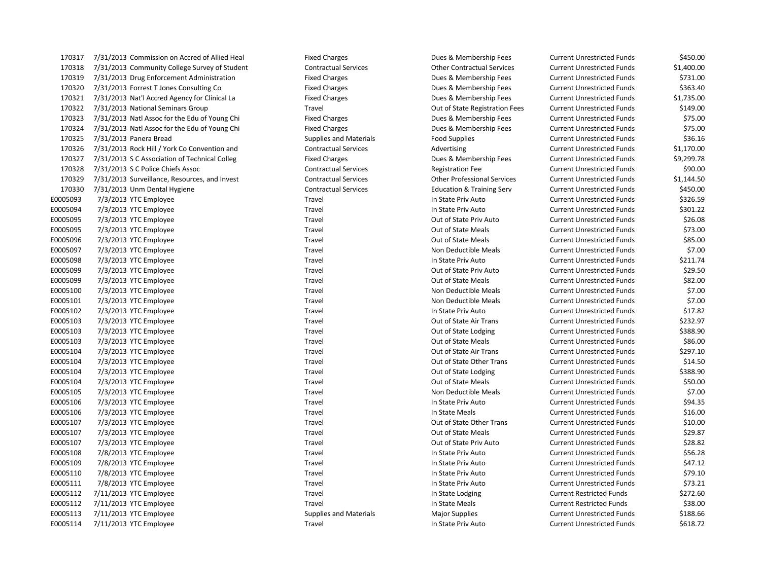170318 7/31/2013 Community College Survey of Student Contractual Services Other Contractual Services Current Unrestricted Funds \$1,400.00 170319 7/31/2013 Drug Enforcement Administration Fixed Charges Dues & Membership Fees Current Unrestricted Funds \$731.00 170320 7/31/2013 Forrest T Jones Consulting Co Fixed Charges Dues & Membership Fees Current Unrestricted Funds \$363.40 170321 7/31/2013 Nat'l Accred Agency for Clinical La Fixed Charges Dues & Membership Fees Current Unrestricted Funds \$1,735.00 170322 7/31/2013 National Seminars Group Travel Out of State Registration Fees Current Unrestricted Funds \$149.00 170323 7/31/2013 Natl Assoc for the Edu of Young Chi Fixed Charges Fixed Charges Dues & Membership Fees Current Unrestricted Funds \$75.00 170324 7/31/2013 Natl Assoc for the Edu of Young Chi Fixed Charges Dues & Membership Fees Current Unrestricted Funds \$75.00 170325 7/31/2013 Panera Bread Supplies and Materials Supplies and Materials Food Supplies Current Unrestricted Funds \$36.16 170326 7/31/2013 Rock Hill / York Co Convention and Contractual Services Advertising Current Unrestricted Funds \$1,170.00 170327 7/31/2013 S C Association of Technical Colleg Fixed Charges Dues & Membership Fees Current Unrestricted Funds \$9,299.78 170328 7/31/2013 S C Police Chiefs Assoc Contractual Services Registration Fee Current Unrestricted Funds \$90.00 170329 7/31/2013 Surveillance, Resources, and Invest Contractual Services Other Professional Services Current Unrestricted Funds \$1,144.50 170330 7/31/2013 Unm Dental Hygiene Contractual Services Education & Training Serv Current Unrestricted Funds \$450.00 E0005093 7/3/2013 YTC Employee Travel In State Priv Auto Current Unrestricted Funds \$326.59 E0005094 7/3/2013 YTC Employee Travel Travel Travel Travel In State Priv Auto Current Unrestricted Funds \$301.22 E0005095 7/3/2013 YTC Employee Travel Travel Travel Cut of State Priv Auto Current Unrestricted Funds \$26.08 E0005095 7/3/2013 YTC Employee State Meals Current Unrestricted Funds \$73.00 E0005096 7/3/2013 YTC Employee Same Travel Travel Travel Cut of State Meals Current Unrestricted Funds \$85.00 E0005097 7/3/2013 YTC Employee Travel Travel Travel Travel Non Deductible Meals Current Unrestricted Funds \$7.00 E0005098 7/3/2013 YTC Employee Travel Travel Travel Travel In State Priv Auto Current Unrestricted Funds \$211.74 E0005099 7/3/2013 YTC Employee Samployee Travel Travel Travel Cut of State Priv Auto Current Unrestricted Funds \$29.50 E0005099 7/3/2013 YTC Employee Same Travel Travel Travel Cut of State Meals Current Unrestricted Funds \$82.00 E0005100 7/3/2013 YTC Employee Travel Travel Travel Non Deductible Meals Current Unrestricted Funds \$7.00 E0005101 7/3/2013 YTC Employee Travel Travel Travel Non Deductible Meals Current Unrestricted Funds \$7.00 E0005102 7/3/2013 YTC Employee Travel In State Priv Auto Current Unrestricted Funds \$17.82 E0005103 7/3/2013 YTC Employee Travel Travel Travel Current Out of State Air Trans Current Unrestricted Funds \$232.97 E0005103 7/3/2013 YTC Employee Travel Travel Travel Cut of State Lodging Current Unrestricted Funds \$388.90 E0005103 7/3/2013 YTC Employee Travel Travel Travel Cut of State Meals Current Unrestricted Funds \$86.00 E0005104 7/3/2013 YTC Employee **Travel Travel** Travel Cut of State Air Trans Current Unrestricted Funds \$297.10 E0005104 7/3/2013 YTC Employee Travel Travel Travel Cut of State Other Trans Current Unrestricted Funds \$14.50 E0005104 7/3/2013 YTC Employee Travel Travel Travel Cut of State Lodging Current Unrestricted Funds \$388.90 E0005104 7/3/2013 YTC Employee Travel Travel Travel Cut of State Meals Current Unrestricted Funds \$50.00 E0005105 7/3/2013 YTC Employee Travel Travel Travel Non Deductible Meals Current Unrestricted Funds \$7.00 E0005106 7/3/2013 YTC Employee Same Travel Travel Travel Current Unrestricted Funds \$94.35 E0005106 7/3/2013 YTC Employee Travel Travel Travel Travel In State Meals Current Unrestricted Funds \$16.00 E0005107 7/3/2013 YTC Employee Travel Travel Travel Cut of State Other Trans Current Unrestricted Funds \$10.00 E0005107 7/3/2013 YTC Employee Travel Travel Travel Current Out of State Meals Current Unrestricted Funds \$29.87 E0005107 7/3/2013 YTC Employee Travel Travel Travel Current Out of State Priv Auto Current Unrestricted Funds \$28.82 E0005108 7/8/2013 YTC Employee Travel In State Priv Auto Current Unrestricted Funds \$56.28 E0005109 7/8/2013 YTC Employee SATTLE Travel Travel Travel Current Unrestricted Funds \$47.12 E0005110 7/8/2013 YTC Employee **Travel Travel Current University Current Unrestricted Funds** \$79.10 E0005111 7/8/2013 YTC Employee ST3.21 Travel Travel Travel In State Priv Auto Current Unrestricted Funds \$73.21 E0005112 7/11/2013 YTC Employee Travel Travel Travel and State Lodging Current Restricted Funds \$272.60 E0005112 7/11/2013 YTC Employee Sassacree Travel Travel Travel and State Meals Current Restricted Funds \$38.00 E0005113 7/11/2013 YTC Employee Supplies and Materials Major Supplies Major Supplies Current Unrestricted Funds \$188.66 E0005114 7/11/2013 YTC Employee Travel Travel Travel Travel In State Priv Auto Current Unrestricted Funds \$618.72

170317 7/31/2013 Commission on Accred of Allied Heal Fixed Charges Dues & Membership Fees Current Unrestricted Funds \$450.00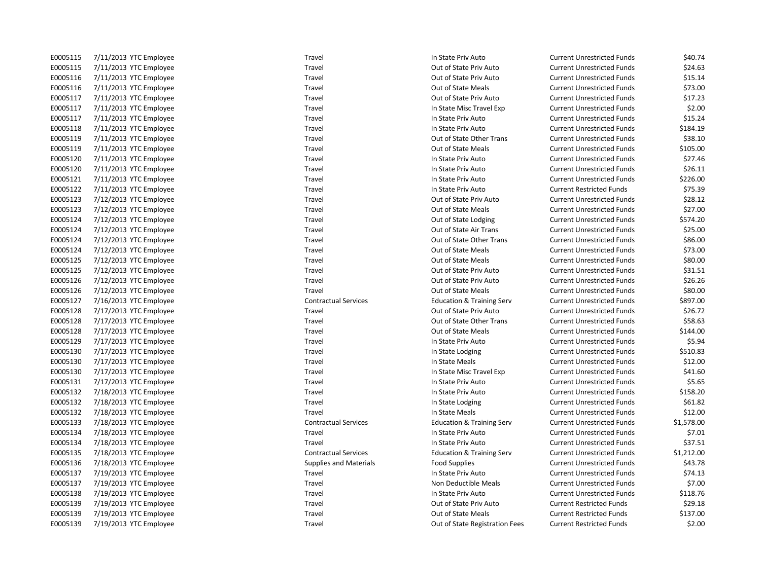| E0005115 | 7/11/2013<br>YTC Employee        |
|----------|----------------------------------|
| E0005115 | 7/11/2013 YTC Employee           |
| E0005116 | 7/11/2013<br><b>YTC Employee</b> |
| E0005116 | 7/11/2013<br><b>YTC Employee</b> |
| E0005117 | 7/11/2013<br><b>YTC Employee</b> |
| E0005117 | 7/11/2013<br><b>YTC Employee</b> |
| E0005117 | 7/11/2013<br><b>YTC Employee</b> |
| E0005118 | 7/11/2013<br><b>YTC Employee</b> |
| E0005119 | 7/11/2013<br><b>YTC Employee</b> |
| E0005119 | 7/11/2013<br><b>YTC Employee</b> |
| E0005120 | 7/11/2013<br><b>YTC Employee</b> |
| E0005120 | <b>YTC Employee</b><br>7/11/2013 |
| E0005121 | 7/11/2013<br><b>YTC Employee</b> |
| E0005122 | 7/11/2013<br><b>YTC Employee</b> |
| E0005123 | 7/12/2013<br><b>YTC Employee</b> |
| E0005123 | 7/12/2013<br><b>YTC Employee</b> |
| E0005124 | 7/12/2013<br><b>YTC Employee</b> |
| E0005124 | 7/12/2013<br>YTC Employee        |
| E0005124 | 7/12/2013<br><b>YTC Employee</b> |
| E0005124 | 7/12/2013<br><b>YTC Employee</b> |
| E0005125 | 7/12/2013<br><b>YTC Employee</b> |
| E0005125 | 7/12/2013<br><b>YTC Employee</b> |
| E0005126 | 7/12/2013<br><b>YTC Employee</b> |
| E0005126 | 7/12/2013<br><b>YTC Employee</b> |
| E0005127 | 7/16/2013<br><b>YTC Employee</b> |
| E0005128 | 7/17/2013<br><b>YTC Employee</b> |
| E0005128 | 7/17/2013<br><b>YTC Employee</b> |
| E0005128 | 7/17/2013<br><b>YTC Employee</b> |
| E0005129 | 7/17/2013<br><b>YTC Employee</b> |
| E0005130 | 7/17/2013<br><b>YTC Employee</b> |
| E0005130 | 7/17/2013<br><b>YTC Employee</b> |
| E0005130 | 7/17/2013<br><b>YTC Employee</b> |
| E0005131 | 7/17/2013<br><b>YTC Employee</b> |
| E0005132 | 7/18/2013<br><b>YTC Employee</b> |
| E0005132 | 7/18/2013<br><b>YTC Employee</b> |
| E0005132 | 7/18/2013<br><b>YTC Employee</b> |
| E0005133 | <b>YTC Employee</b><br>7/18/2013 |
| E0005134 | 7/18/2013<br><b>YTC Employee</b> |
| E0005134 | 7/18/2013<br><b>YTC Employee</b> |
| E0005135 | 7/18/2013<br><b>YTC Employee</b> |
| E0005136 | 7/18/2013<br><b>YTC Employee</b> |
| E0005137 | 7/19/2013<br><b>YTC Employee</b> |
| E0005137 | 7/19/2013<br><b>YTC Employee</b> |
| E0005138 | 7/19/2013<br><b>YTC Employee</b> |
| E0005139 | 7/19/2013<br><b>YTC Employee</b> |
| E0005139 | 7/19/2013<br><b>YTC Employee</b> |
| E0005139 | <b>YTC Employee</b><br>7/19/2013 |

E0005115 7/11/2013 YTC Employee Travel Travel Travel Travel In State Priv Auto Current Unrestricted Funds \$40.74 E0005115 7/11/2013 YTC Employee Travel Travel Travel Current Out of State Priv Auto Current Unrestricted Funds \$24.63 Travel **EXECUTE:** Travel Current Unrestricted Funds Current Unrestricted Funds 515.14 E0015 Travel Travel Current Unrestricted Funds (ST3.00 Travel **EXECUTE:** Conserved the Out of State Priv Auto Current Unrestricted Funds \$17.23 Travel **End and State Misc Travel Exp** Current Unrestricted Funds \$2.00 E0005117 7/11/2013 YTC Employee Travel In State Priv Auto Current Unrestricted Funds \$15.24 Travel **EXECUTE:** Travel In State Priv Auto **Current Unrestricted Funds** \$184.19 Travel **EXECUTE:** Travel Travel Current Unrestricted Funds 538.10 Travel **EXECUTE:** Travel Current Unrestricted Funds **Travel Current Unrestricted Funds** 5105.00 E0005120 7/11/2013 YTC Employee Travel Travel Travel Travel In State Priv Auto Current Unrestricted Funds \$27.46 E0005120 7/11/2013 YTC Employee The Same Travel Travel Travel In State Priv Auto Current Unrestricted Funds \$26.11 E0005121 7/11/2013 YTC Employee Travel Travel Travel Travel In State Priv Auto Current Unrestricted Funds \$226.00 E0005122 7/11/2013 YTC Employee Travel In State Priv Auto Current Restricted Funds \$75.39 E0005123 7/12/2013 YTC Employee Travel Travel Travel Current Out of State Priv Auto Current Unrestricted Funds \$28.12 Travel **EXECUTE:** Travel Current Unrestricted Funds between the S27.00 Travel **EXECUTE:** Travel Travel 2012 Travel Current Unrestricted Funds 5574.20 Travel **EXECUTE:** Current Unrestricted Funds \$25.00 E0005124 7/12/2013 YTC Employee Travel Out of State Other Trans Current Unrestricted Funds \$86.00 E001512 Travel Travel 2006 State Meals Current Unrestricted Funds \$73.00 E0005125 7/12/2013 YTC Employee Travel Out of State Meals Current Unrestricted Funds \$80.00 Travel **EXECUTE:** Travel Current Unrestricted Funds **Current Unrestricted Funds** 531.51 E0005126 Travel Control Current Unrestricted Funds in the S26.26 Travel **EXECUTE:** Travel Current Unrestricted Funds by S80.00 E0005127 7/16/2013 YTC Employee Contractual Services Education & Training Serv Current Unrestricted Funds \$897.00 E0005128 7/17/2013 YTC Employee Travel Travel Travel Current Out of State Priv Auto Current Unrestricted Funds \$26.72 Travel **EXECUTE:** Travel Travel Current Unrestricted Funds **S58.63** S58.63 Travel **EXECUTE:** Travel Current Unrestricted Funds by 144.00 Travel **Example 2006** 100 State Priv Auto Current Unrestricted Funds \$5.94 E0005130 Travel Travel Travel In State Lodging Current Unrestricted Funds \$510.83 E0005130 7ravel Travel 10005130 10005130 10005130 1n State Meals Current Unrestricted Funds 512.00 Travel **E0006130 1200 F1000 7/17/2013** In State Misc Travel Exp Current Unrestricted Funds \$41.60 Travel **EXECUTE:** In State Priv Auto Current Unrestricted Funds \$5.65 E0005132 7/18/2013 YTC Employee Travel In State Priv Auto Current Unrestricted Funds \$158.20 Travel **EXECUTE:** In State Lodging Current Unrestricted Funds \$61.82 Endel Entertainment under the United Travel In State Meals Current Unrestricted Funds 512.00 Contractual Services **Facial Services** Education & Training Serv Current Unrestricted Funds \$1,578.00 Travel **EXECUTE:** Travel Travel 10 1976 Travel In State Priv Auto Current Unrestricted Funds \$7.01 E0005134 7/18/2013 YTC Employee Travel Travel Travel Travel In State Priv Auto Current Unrestricted Funds \$37.51 Contractual Services **Francisc** Education & Training Serv Current Unrestricted Funds \$1,212.00 Supplies and Materials **Food Supplies** Food Supplies Current Unrestricted Funds \$43.78 E00051374.13 Travel In State Priv Auto Current Unrestricted Funds \$74.13 Travel **EXECUTE:** Travel Travel Non Deductible Meals Current Unrestricted Funds \$7.00 E0005138 Travel Travel In State Priv Auto Current Unrestricted Funds \$118.76 E0005139 7/19/2013 YTC Employee Travel Travel Travel Current Australian Current Restricted Funds \$29.18 E0005139 7/19/2013 YTC Employee Travel Travel Travel Current Restricted Funds \$137.00 nployee **Travel Travel See Current Restricted Funds** \$2.00 See See Current Restricted Funds \$2.00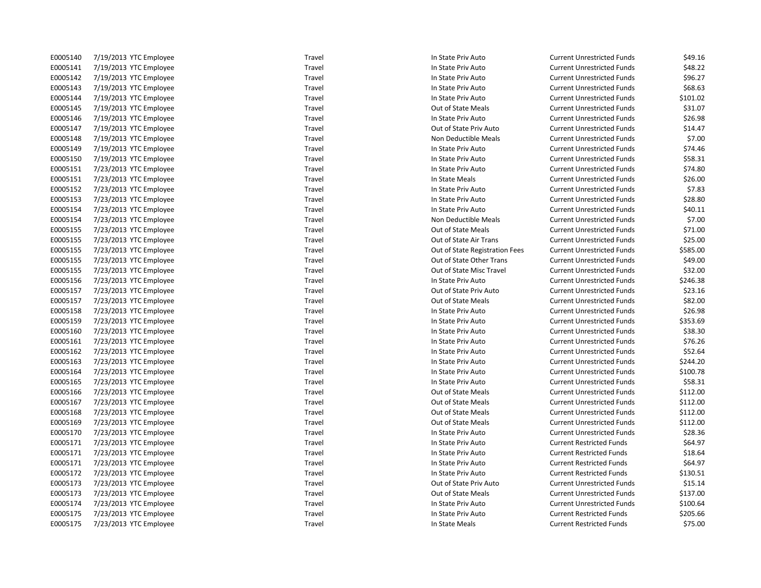| E0005140 | 7/19/2013 YTC Employee | Travel | In State Priv Auto             | <b>Current Unrestricted Funds</b> | \$49.16  |
|----------|------------------------|--------|--------------------------------|-----------------------------------|----------|
| E0005141 | 7/19/2013 YTC Employee | Travel | In State Priv Auto             | <b>Current Unrestricted Funds</b> | \$48.22  |
| E0005142 | 7/19/2013 YTC Employee | Travel | In State Priv Auto             | <b>Current Unrestricted Funds</b> | \$96.27  |
| E0005143 | 7/19/2013 YTC Employee | Travel | In State Priv Auto             | <b>Current Unrestricted Funds</b> | \$68.63  |
| E0005144 | 7/19/2013 YTC Employee | Travel | In State Priv Auto             | <b>Current Unrestricted Funds</b> | \$101.02 |
| E0005145 | 7/19/2013 YTC Employee | Travel | Out of State Meals             | <b>Current Unrestricted Funds</b> | \$31.07  |
| E0005146 | 7/19/2013 YTC Employee | Travel | In State Priv Auto             | <b>Current Unrestricted Funds</b> | \$26.98  |
| E0005147 | 7/19/2013 YTC Employee | Travel | Out of State Priv Auto         | <b>Current Unrestricted Funds</b> | \$14.47  |
| E0005148 | 7/19/2013 YTC Employee | Travel | Non Deductible Meals           | <b>Current Unrestricted Funds</b> | \$7.00   |
| E0005149 | 7/19/2013 YTC Employee | Travel | In State Priv Auto             | <b>Current Unrestricted Funds</b> | \$74.46  |
| E0005150 | 7/19/2013 YTC Employee | Travel | In State Priv Auto             | <b>Current Unrestricted Funds</b> | \$58.31  |
| E0005151 | 7/23/2013 YTC Employee | Travel | In State Priv Auto             | <b>Current Unrestricted Funds</b> | \$74.80  |
| E0005151 | 7/23/2013 YTC Employee | Travel | In State Meals                 | <b>Current Unrestricted Funds</b> | \$26.00  |
| E0005152 | 7/23/2013 YTC Employee | Travel | In State Priv Auto             | <b>Current Unrestricted Funds</b> | \$7.83   |
| E0005153 | 7/23/2013 YTC Employee | Travel | In State Priv Auto             | <b>Current Unrestricted Funds</b> | \$28.80  |
| E0005154 | 7/23/2013 YTC Employee | Travel | In State Priv Auto             | <b>Current Unrestricted Funds</b> | \$40.11  |
| E0005154 | 7/23/2013 YTC Employee | Travel | Non Deductible Meals           | <b>Current Unrestricted Funds</b> | \$7.00   |
| E0005155 | 7/23/2013 YTC Employee | Travel | Out of State Meals             | <b>Current Unrestricted Funds</b> | \$71.00  |
| E0005155 | 7/23/2013 YTC Employee | Travel | Out of State Air Trans         | <b>Current Unrestricted Funds</b> | \$25.00  |
| E0005155 | 7/23/2013 YTC Employee | Travel | Out of State Registration Fees | <b>Current Unrestricted Funds</b> | \$585.00 |
| E0005155 | 7/23/2013 YTC Employee | Travel | Out of State Other Trans       | <b>Current Unrestricted Funds</b> | \$49.00  |
| E0005155 | 7/23/2013 YTC Employee | Travel | Out of State Misc Travel       | <b>Current Unrestricted Funds</b> | \$32.00  |
| E0005156 | 7/23/2013 YTC Employee | Travel | In State Priv Auto             | <b>Current Unrestricted Funds</b> | \$246.38 |
| E0005157 | 7/23/2013 YTC Employee | Travel | Out of State Priv Auto         | <b>Current Unrestricted Funds</b> | \$23.16  |
| E0005157 | 7/23/2013 YTC Employee | Travel | Out of State Meals             | <b>Current Unrestricted Funds</b> | \$82.00  |
| E0005158 | 7/23/2013 YTC Employee | Travel | In State Priv Auto             | <b>Current Unrestricted Funds</b> | \$26.98  |
| E0005159 | 7/23/2013 YTC Employee | Travel | In State Priv Auto             | <b>Current Unrestricted Funds</b> | \$353.69 |
| E0005160 | 7/23/2013 YTC Employee | Travel | In State Priv Auto             | <b>Current Unrestricted Funds</b> | \$38.30  |
| E0005161 | 7/23/2013 YTC Employee | Travel | In State Priv Auto             | <b>Current Unrestricted Funds</b> | \$76.26  |
| E0005162 | 7/23/2013 YTC Employee | Travel | In State Priv Auto             | <b>Current Unrestricted Funds</b> | \$52.64  |
| E0005163 | 7/23/2013 YTC Employee | Travel | In State Priv Auto             | <b>Current Unrestricted Funds</b> | \$244.20 |
| E0005164 | 7/23/2013 YTC Employee | Travel | In State Priv Auto             | <b>Current Unrestricted Funds</b> | \$100.78 |
| E0005165 | 7/23/2013 YTC Employee | Travel | In State Priv Auto             | <b>Current Unrestricted Funds</b> | \$58.31  |
| E0005166 | 7/23/2013 YTC Employee | Travel | Out of State Meals             | <b>Current Unrestricted Funds</b> | \$112.00 |
| E0005167 | 7/23/2013 YTC Employee | Travel | Out of State Meals             | <b>Current Unrestricted Funds</b> | \$112.00 |
| E0005168 | 7/23/2013 YTC Employee | Travel | Out of State Meals             | <b>Current Unrestricted Funds</b> | \$112.00 |
| E0005169 | 7/23/2013 YTC Employee | Travel | Out of State Meals             | <b>Current Unrestricted Funds</b> | \$112.00 |
| E0005170 | 7/23/2013 YTC Employee | Travel | In State Priv Auto             | <b>Current Unrestricted Funds</b> | \$28.36  |
| E0005171 | 7/23/2013 YTC Employee | Travel | In State Priv Auto             | <b>Current Restricted Funds</b>   | \$64.97  |
| E0005171 | 7/23/2013 YTC Employee | Travel | In State Priv Auto             | <b>Current Restricted Funds</b>   | \$18.64  |
| E0005171 | 7/23/2013 YTC Employee | Travel | In State Priv Auto             | <b>Current Restricted Funds</b>   | \$64.97  |
| E0005172 | 7/23/2013 YTC Employee | Travel | In State Priv Auto             | <b>Current Restricted Funds</b>   | \$130.51 |
| E0005173 | 7/23/2013 YTC Employee | Travel | Out of State Priv Auto         | <b>Current Unrestricted Funds</b> | \$15.14  |
| E0005173 | 7/23/2013 YTC Employee | Travel | Out of State Meals             | <b>Current Unrestricted Funds</b> | \$137.00 |
| E0005174 | 7/23/2013 YTC Employee | Travel | In State Priv Auto             | <b>Current Unrestricted Funds</b> | \$100.64 |
| E0005175 | 7/23/2013 YTC Employee | Travel | In State Priv Auto             | <b>Current Restricted Funds</b>   | \$205.66 |
| E0005175 | 7/23/2013 YTC Employee | Travel | In State Meals                 | <b>Current Restricted Funds</b>   | \$75.00  |